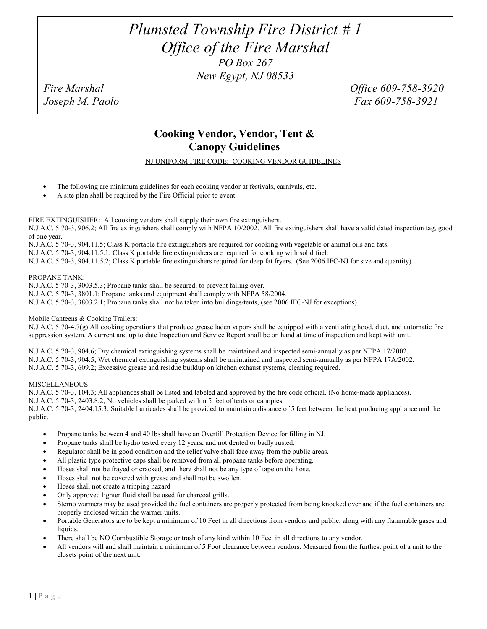# *Plumsted Township Fire District # 1 Office of the Fire Marshal PO Box 267 New Egypt, NJ 08533*

*Fire Marshal Office 609-758-3920 Joseph M. Paolo Fax 609-758-3921* 

## **Cooking Vendor, Vendor, Tent & Canopy Guidelines**

NJ UNIFORM FIRE CODE: COOKING VENDOR GUIDELINES

- The following are minimum guidelines for each cooking vendor at festivals, carnivals, etc.
- A site plan shall be required by the Fire Official prior to event.

FIRE EXTINGUISHER: All cooking vendors shall supply their own fire extinguishers.

N.J.A.C. 5:70-3, 906.2; All fire extinguishers shall comply with NFPA 10/2002. All fire extinguishers shall have a valid dated inspection tag, good of one year.

N.J.A.C. 5:70-3, 904.11.5; Class K portable fire extinguishers are required for cooking with vegetable or animal oils and fats.

N.J.A.C. 5:70-3, 904.11.5.1; Class K portable fire extinguishers are required for cooking with solid fuel.

N.J.A.C. 5:70-3, 904.11.5.2; Class K portable fire extinguishers required for deep fat fryers. (See 2006 IFC-NJ for size and quantity)

#### PROPANE TANK:

N.J.A.C. 5:70-3, 3003.5.3; Propane tanks shall be secured, to prevent falling over.

N.J.A.C. 5:70-3, 3801.1; Propane tanks and equipment shall comply with NFPA 58/2004.

N.J.A.C. 5:70-3, 3803.2.1; Propane tanks shall not be taken into buildings/tents, (see 2006 IFC-NJ for exceptions)

#### Mobile Canteens & Cooking Trailers:

N.J.A.C. 5:70-4.7(g) All cooking operations that produce grease laden vapors shall be equipped with a ventilating hood, duct, and automatic fire suppression system. A current and up to date Inspection and Service Report shall be on hand at time of inspection and kept with unit.

N.J.A.C. 5:70-3, 904.6; Dry chemical extinguishing systems shall be maintained and inspected semi-annually as per NFPA 17/2002. N.J.A.C. 5:70-3, 904.5; Wet chemical extinguishing systems shall be maintained and inspected semi-annually as per NFPA 17A/2002. N.J.A.C. 5:70-3, 609.2; Excessive grease and residue buildup on kitchen exhaust systems, cleaning required.

#### MISCELLANEOUS:

N.J.A.C. 5:70-3, 104.3; All appliances shall be listed and labeled and approved by the fire code official. (No home-made appliances).

N.J.A.C. 5:70-3, 2403.8.2; No vehicles shall be parked within 5 feet of tents or canopies.

N.J.A.C. 5:70-3, 2404.15.3; Suitable barricades shall be provided to maintain a distance of 5 feet between the heat producing appliance and the public.

- Propane tanks between 4 and 40 lbs shall have an Overfill Protection Device for filling in NJ.
- Propane tanks shall be hydro tested every 12 years, and not dented or badly rusted.
- Regulator shall be in good condition and the relief valve shall face away from the public areas.
- All plastic type protective caps shall be removed from all propane tanks before operating.
- Hoses shall not be frayed or cracked, and there shall not be any type of tape on the hose.
- Hoses shall not be covered with grease and shall not be swollen.
- Hoses shall not create a tripping hazard
- Only approved lighter fluid shall be used for charcoal grills.
- Sterno warmers may be used provided the fuel containers are properly protected from being knocked over and if the fuel containers are properly enclosed within the warmer units.
- Portable Generators are to be kept a minimum of 10 Feet in all directions from vendors and public, along with any flammable gases and liquids.
- There shall be NO Combustible Storage or trash of any kind within 10 Feet in all directions to any vendor.
- All vendors will and shall maintain a minimum of 5 Foot clearance between vendors. Measured from the furthest point of a unit to the closets point of the next unit.